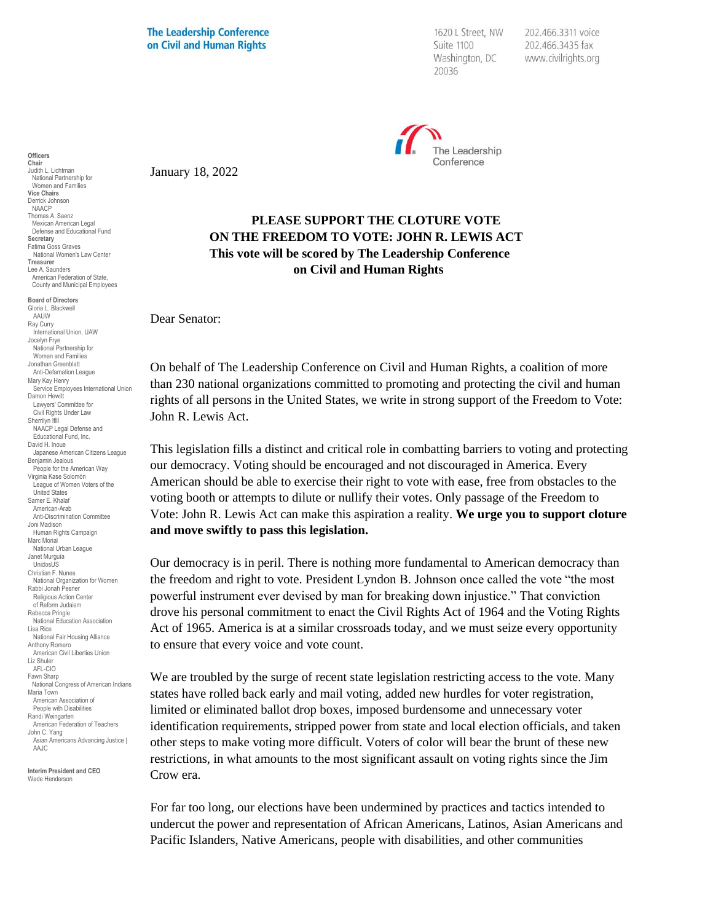**The Leadership Conference** on Civil and Human Rights

1620 L Street, NW Suite 1100 Washington, DC 20036

202.466.3311 voice 202.466.3435 fax www.civilrights.org



January 18, 2022

**PLEASE SUPPORT THE CLOTURE VOTE ON THE FREEDOM TO VOTE: JOHN R. LEWIS ACT This vote will be scored by The Leadership Conference on Civil and Human Rights** 

Dear Senator:

On behalf of The Leadership Conference on Civil and Human Rights, a coalition of more than 230 national organizations committed to promoting and protecting the civil and human rights of all persons in the United States, we write in strong support of the Freedom to Vote: John R. Lewis Act.

This legislation fills a distinct and critical role in combatting barriers to voting and protecting our democracy. Voting should be encouraged and not discouraged in America. Every American should be able to exercise their right to vote with ease, free from obstacles to the voting booth or attempts to dilute or nullify their votes. Only passage of the Freedom to Vote: John R. Lewis Act can make this aspiration a reality. **We urge you to support cloture and move swiftly to pass this legislation.** 

Our democracy is in peril. There is nothing more fundamental to American democracy than the freedom and right to vote. President Lyndon B. Johnson once called the vote "the most powerful instrument ever devised by man for breaking down injustice." That conviction drove his personal commitment to enact the Civil Rights Act of 1964 and the Voting Rights Act of 1965. America is at a similar crossroads today, and we must seize every opportunity to ensure that every voice and vote count.

We are troubled by the surge of recent state legislation restricting access to the vote. Many states have rolled back early and mail voting, added new hurdles for voter registration, limited or eliminated ballot drop boxes, imposed burdensome and unnecessary voter identification requirements, stripped power from state and local election officials, and taken other steps to make voting more difficult. Voters of color will bear the brunt of these new restrictions, in what amounts to the most significant assault on voting rights since the Jim Crow era.

For far too long, our elections have been undermined by practices and tactics intended to undercut the power and representation of African Americans, Latinos, Asian Americans and Pacific Islanders, Native Americans, people with disabilities, and other communities

**Officers Chair** Judith L. Lichtman National Partnership for Women and Families **Vice Chairs** Derrick Johnson NAACP Thomas A. Saenz Mexican American Legal Defense and Educational Fund **Secretary** Fatima Goss Graves National Women's Law Center **Treasurer** Lee A. Saunders American Federation of State, County and Municipal Employees **Board of Directors**

Gloria L. Blackwell AAUW Ray Curry uy Garry<br>International Union, UAW Jocelyn Frye National Partnership for Women and Families Jonathan Greenblatt Anti-Defamation League Mary Kay Henry Service Employees International Union Damon Hewitt Lawyers' Committee for Civil Rights Under Law Sherrilyn Ifill NAACP Legal Defense and Educational Fund, Inc. David H. Inoue Japanese American Citizens League Benjamin Jealous People for the American Way Virginia Kase Solomón League of Women Voters of the United States Samer E. Khalaf American-Arab Anti-Discrimination Committee Joni Madison Human Rights Campaign Marc Morial National Urban League Janet Murguía UnidosUS Christian F. Nunes National Organization for Women Rabbi Jonah Pesner Religious Action Center of Reform Judaism Rebecca Pringle National Education Association Lisa Rice National Fair Housing Alliance Anthony Romero American Civil Liberties Union Liz Shuler AFL-CIO Fawn Sharp National Congress of American Indians Maria Town American Association of People with Disabilities Randi Weingarten American Federation of Teachers John C. Yang Asian Americans Advancing Justice | AAJC.

**Interim President and CEO** Wade Henderson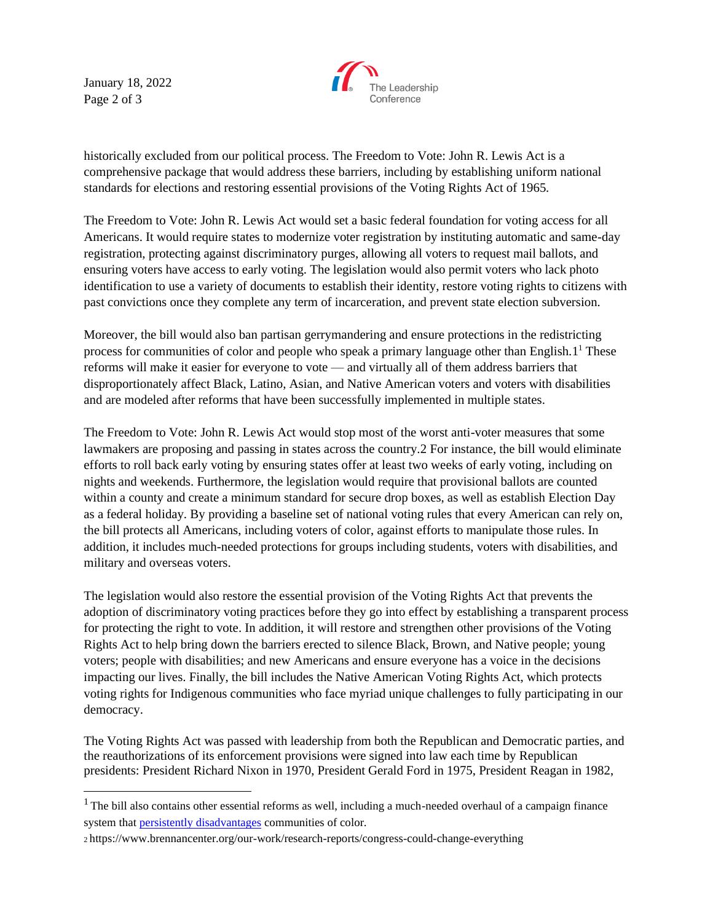January 18, 2022 Page 2 of 3



historically excluded from our political process. The Freedom to Vote: John R. Lewis Act is a comprehensive package that would address these barriers, including by establishing uniform national standards for elections and restoring essential provisions of the Voting Rights Act of 1965.

The Freedom to Vote: John R. Lewis Act would set a basic federal foundation for voting access for all Americans. It would require states to modernize voter registration by instituting automatic and same-day registration, protecting against discriminatory purges, allowing all voters to request mail ballots, and ensuring voters have access to early voting. The legislation would also permit voters who lack photo identification to use a variety of documents to establish their identity, restore voting rights to citizens with past convictions once they complete any term of incarceration, and prevent state election subversion.

Moreover, the bill would also ban partisan gerrymandering and ensure protections in the redistricting process for communities of color and people who speak a primary language other than English. 1<sup>1</sup> These reforms will make it easier for everyone to vote — and virtually all of them address barriers that disproportionately affect Black, Latino, Asian, and Native American voters and voters with disabilities and are modeled after reforms that have been successfully implemented in multiple states.

The Freedom to Vote: John R. Lewis Act would stop most of the worst anti-voter measures that some lawmakers are proposing and passing in states across the country.2 For instance, the bill would eliminate efforts to roll back early voting by ensuring states offer at least two weeks of early voting, including on nights and weekends. Furthermore, the legislation would require that provisional ballots are counted within a county and create a minimum standard for secure drop boxes, as well as establish Election Day as a federal holiday. By providing a baseline set of national voting rules that every American can rely on, the bill protects all Americans, including voters of color, against efforts to manipulate those rules. In addition, it includes much-needed protections for groups including students, voters with disabilities, and military and overseas voters.

The legislation would also restore the essential provision of the Voting Rights Act that prevents the adoption of discriminatory voting practices before they go into effect by establishing a transparent process for protecting the right to vote. In addition, it will restore and strengthen other provisions of the Voting Rights Act to help bring down the barriers erected to silence Black, Brown, and Native people; young voters; people with disabilities; and new Americans and ensure everyone has a voice in the decisions impacting our lives. Finally, the bill includes the Native American Voting Rights Act, which protects voting rights for Indigenous communities who face myriad unique challenges to fully participating in our democracy.

The Voting Rights Act was passed with leadership from both the Republican and Democratic parties, and the reauthorizations of its enforcement provisions were signed into law each time by Republican presidents: President Richard Nixon in 1970, President Gerald Ford in 1975, President Reagan in 1982,

 $1$  The bill also contains other essential reforms as well, including a much-needed overhaul of a campaign finance system that [persistently disadvantages](https://www.washingtonpost.com/news/wonk/wp/2014/12/15/why-big-spending-on-political-campaigns-makes-racial-inequality-worse/) communities of color.

<sup>2</sup> https://www.brennancenter.org/our-work/research-reports/congress-could-change-everything